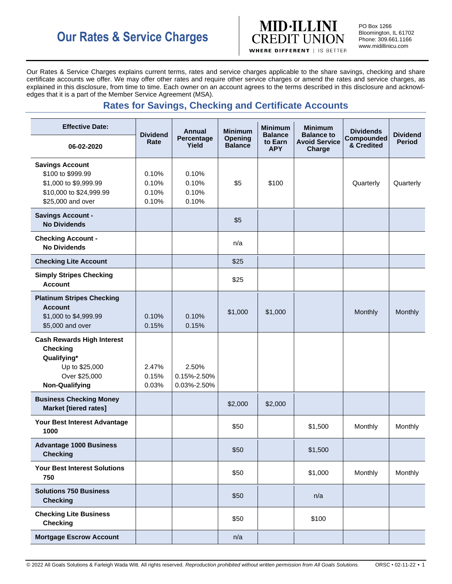

PO Box 1266 Bloomington, IL 61702 Phone: 309.661.1166 www.midillinicu.com

Our Rates & Service Charges explains current terms, rates and service charges applicable to the share savings, checking and share certificate accounts we offer. We may offer other rates and require other service charges or amend the rates and service charges, as explained in this disclosure, from time to time. Each owner on an account agrees to the terms described in this disclosure and acknowledges that it is a part of the Member Service Agreement (MSA).

# **Rates for Savings, Checking and Certificate Accounts**

| <b>Effective Date:</b><br>06-02-2020                                                                                            | <b>Dividend</b><br>Rate          | <b>Annual</b><br>Percentage<br>Yield | <b>Minimum</b><br><b>Opening</b><br><b>Balance</b> | <b>Minimum</b><br><b>Balance</b><br>to Earn | <b>Minimum</b><br><b>Balance to</b><br><b>Avoid Service</b> | <b>Dividends</b><br><b>Compounded</b><br>& Credited | <b>Dividend</b><br><b>Period</b> |
|---------------------------------------------------------------------------------------------------------------------------------|----------------------------------|--------------------------------------|----------------------------------------------------|---------------------------------------------|-------------------------------------------------------------|-----------------------------------------------------|----------------------------------|
|                                                                                                                                 |                                  |                                      |                                                    | <b>APY</b>                                  | Charge                                                      |                                                     |                                  |
| <b>Savings Account</b><br>\$100 to \$999.99<br>\$1,000 to \$9,999.99<br>\$10,000 to \$24,999.99<br>\$25,000 and over            | 0.10%<br>0.10%<br>0.10%<br>0.10% | 0.10%<br>0.10%<br>0.10%<br>0.10%     | \$5                                                | \$100                                       |                                                             | Quarterly                                           | Quarterly                        |
| <b>Savings Account -</b><br><b>No Dividends</b>                                                                                 |                                  |                                      | \$5                                                |                                             |                                                             |                                                     |                                  |
| <b>Checking Account -</b><br><b>No Dividends</b>                                                                                |                                  |                                      | n/a                                                |                                             |                                                             |                                                     |                                  |
| <b>Checking Lite Account</b>                                                                                                    |                                  |                                      | \$25                                               |                                             |                                                             |                                                     |                                  |
| <b>Simply Stripes Checking</b><br><b>Account</b>                                                                                |                                  |                                      | \$25                                               |                                             |                                                             |                                                     |                                  |
| <b>Platinum Stripes Checking</b><br><b>Account</b><br>\$1,000 to \$4,999.99<br>\$5,000 and over                                 | 0.10%<br>0.15%                   | 0.10%<br>0.15%                       | \$1,000                                            | \$1,000                                     |                                                             | Monthly                                             | Monthly                          |
| <b>Cash Rewards High Interest</b><br><b>Checking</b><br>Qualifying*<br>Up to \$25,000<br>Over \$25,000<br><b>Non-Qualifying</b> | 2.47%<br>0.15%<br>0.03%          | 2.50%<br>0.15%-2.50%<br>0.03%-2.50%  |                                                    |                                             |                                                             |                                                     |                                  |
| <b>Business Checking Money</b><br><b>Market [tiered rates]</b>                                                                  |                                  |                                      | \$2,000                                            | \$2,000                                     |                                                             |                                                     |                                  |
| Your Best Interest Advantage<br>1000                                                                                            |                                  |                                      | \$50                                               |                                             | \$1,500                                                     | Monthly                                             | Monthly                          |
| <b>Advantage 1000 Business</b><br><b>Checking</b>                                                                               |                                  |                                      | \$50                                               |                                             | \$1,500                                                     |                                                     |                                  |
| <b>Your Best Interest Solutions</b><br>750                                                                                      |                                  |                                      | \$50                                               |                                             | \$1,000                                                     | Monthly                                             | Monthly                          |
| <b>Solutions 750 Business</b><br><b>Checking</b>                                                                                |                                  |                                      | \$50                                               |                                             | n/a                                                         |                                                     |                                  |
| <b>Checking Lite Business</b><br><b>Checking</b>                                                                                |                                  |                                      | \$50                                               |                                             | \$100                                                       |                                                     |                                  |
| <b>Mortgage Escrow Account</b>                                                                                                  |                                  |                                      | n/a                                                |                                             |                                                             |                                                     |                                  |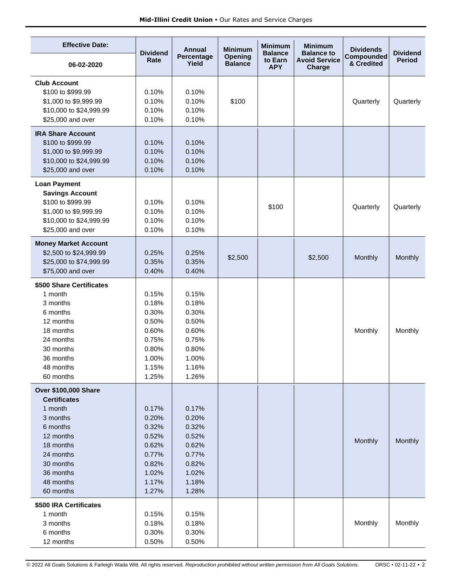| <b>Effective Date:</b>                                                                                                                                                           | <b>Dividend</b>                                                                        | <b>Annual</b>                                                                          | <b>Minimum</b>                   | <b>Minimum</b><br><b>Balance</b> | <b>Minimum</b><br><b>Balance to</b> | <b>Dividends</b>         | <b>Dividend</b> |
|----------------------------------------------------------------------------------------------------------------------------------------------------------------------------------|----------------------------------------------------------------------------------------|----------------------------------------------------------------------------------------|----------------------------------|----------------------------------|-------------------------------------|--------------------------|-----------------|
| 06-02-2020                                                                                                                                                                       | Rate                                                                                   | Percentage<br>Yield                                                                    | <b>Opening</b><br><b>Balance</b> | to Earn<br><b>APY</b>            | <b>Avoid Service</b><br>Charge      | Compounded<br>& Credited | <b>Period</b>   |
| <b>Club Account</b><br>\$100 to \$999.99<br>\$1,000 to \$9,999.99<br>\$10,000 to \$24,999.99<br>\$25,000 and over                                                                | 0.10%<br>0.10%<br>0.10%<br>0.10%                                                       | 0.10%<br>0.10%<br>0.10%<br>0.10%                                                       | \$100                            |                                  |                                     | Quarterly                | Quarterly       |
| <b>IRA Share Account</b><br>\$100 to \$999.99<br>\$1,000 to \$9,999.99<br>\$10,000 to \$24,999.99<br>\$25,000 and over                                                           | 0.10%<br>0.10%<br>0.10%<br>0.10%                                                       | 0.10%<br>0.10%<br>0.10%<br>0.10%                                                       |                                  |                                  |                                     |                          |                 |
| <b>Loan Payment</b><br><b>Savings Account</b><br>\$100 to \$999.99<br>\$1,000 to \$9,999.99<br>\$10,000 to \$24,999.99<br>\$25,000 and over                                      | 0.10%<br>0.10%<br>0.10%<br>0.10%                                                       | 0.10%<br>0.10%<br>0.10%<br>0.10%                                                       |                                  | \$100                            |                                     | Quarterly                | Quarterly       |
| <b>Money Market Account</b><br>\$2,500 to \$24,999.99<br>\$25,000 to \$74,999.99<br>\$75,000 and over                                                                            | 0.25%<br>0.35%<br>0.40%                                                                | 0.25%<br>0.35%<br>0.40%                                                                | \$2,500                          |                                  | \$2,500                             | Monthly                  | Monthly         |
| \$500 Share Certificates<br>1 month<br>3 months<br>6 months<br>12 months<br>18 months<br>24 months<br>30 months<br>36 months<br>48 months<br>60 months                           | 0.15%<br>0.18%<br>0.30%<br>0.50%<br>0.60%<br>0.75%<br>0.80%<br>1.00%<br>1.15%<br>1.25% | 0.15%<br>0.18%<br>0.30%<br>0.50%<br>0.60%<br>0.75%<br>0.80%<br>1.00%<br>1.16%<br>1.26% |                                  |                                  |                                     | Monthly                  | Monthly         |
| <b>Over \$100,000 Share</b><br><b>Certificates</b><br>1 month<br>3 months<br>6 months<br>12 months<br>18 months<br>24 months<br>30 months<br>36 months<br>48 months<br>60 months | 0.17%<br>0.20%<br>0.32%<br>0.52%<br>0.62%<br>0.77%<br>0.82%<br>1.02%<br>1.17%<br>1.27% | 0.17%<br>0.20%<br>0.32%<br>0.52%<br>0.62%<br>0.77%<br>0.82%<br>1.02%<br>1.18%<br>1.28% |                                  |                                  |                                     | Monthly                  | Monthly         |
| \$500 IRA Certificates<br>1 month<br>3 months<br>6 months<br>12 months                                                                                                           | 0.15%<br>0.18%<br>0.30%<br>0.50%                                                       | 0.15%<br>0.18%<br>0.30%<br>0.50%                                                       |                                  |                                  |                                     | Monthly                  | Monthly         |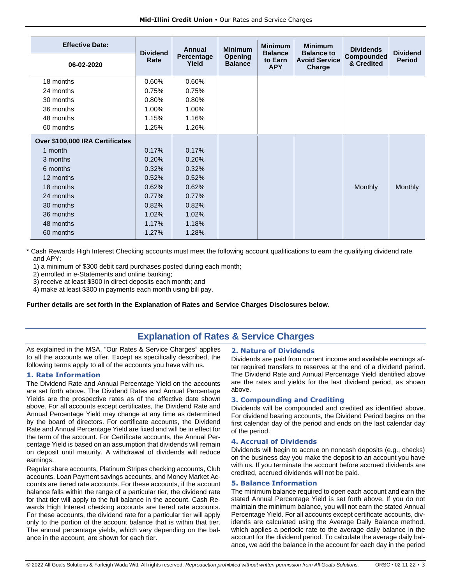| <b>Effective Date:</b>          | <b>Dividend</b><br>Rate | <b>Annual</b><br>Percentage<br>Yield | <b>Minimum</b><br><b>Opening</b><br><b>Balance</b> | <b>Minimum</b><br><b>Balance</b><br>to Earn | <b>Minimum</b><br><b>Balance to</b><br><b>Avoid Service</b> | <b>Dividends</b><br><b>Compounded</b><br>& Credited | <b>Dividend</b><br><b>Period</b> |
|---------------------------------|-------------------------|--------------------------------------|----------------------------------------------------|---------------------------------------------|-------------------------------------------------------------|-----------------------------------------------------|----------------------------------|
| 06-02-2020                      |                         |                                      |                                                    | <b>APY</b>                                  | Charge                                                      |                                                     |                                  |
| 18 months                       | 0.60%                   | 0.60%                                |                                                    |                                             |                                                             |                                                     |                                  |
| 24 months                       | 0.75%                   | 0.75%                                |                                                    |                                             |                                                             |                                                     |                                  |
| 30 months                       | 0.80%                   | 0.80%                                |                                                    |                                             |                                                             |                                                     |                                  |
| 36 months                       | 1.00%                   | 1.00%                                |                                                    |                                             |                                                             |                                                     |                                  |
| 48 months                       | 1.15%                   | 1.16%                                |                                                    |                                             |                                                             |                                                     |                                  |
| 60 months                       | 1.25%                   | 1.26%                                |                                                    |                                             |                                                             |                                                     |                                  |
| Over \$100,000 IRA Certificates |                         |                                      |                                                    |                                             |                                                             |                                                     |                                  |
| 1 month                         | 0.17%                   | 0.17%                                |                                                    |                                             |                                                             |                                                     |                                  |
| 3 months                        | 0.20%                   | 0.20%                                |                                                    |                                             |                                                             |                                                     |                                  |
| 6 months                        | 0.32%                   | 0.32%                                |                                                    |                                             |                                                             |                                                     |                                  |
| 12 months                       | 0.52%                   | 0.52%                                |                                                    |                                             |                                                             |                                                     |                                  |
| 18 months                       | 0.62%                   | 0.62%                                |                                                    |                                             |                                                             | Monthly                                             | Monthly                          |
| 24 months                       | 0.77%                   | 0.77%                                |                                                    |                                             |                                                             |                                                     |                                  |
| 30 months                       | 0.82%                   | 0.82%                                |                                                    |                                             |                                                             |                                                     |                                  |
| 36 months                       | 1.02%                   | 1.02%                                |                                                    |                                             |                                                             |                                                     |                                  |
| 48 months                       | 1.17%                   | 1.18%                                |                                                    |                                             |                                                             |                                                     |                                  |
| 60 months                       | 1.27%                   | 1.28%                                |                                                    |                                             |                                                             |                                                     |                                  |

\* Cash Rewards High Interest Checking accounts must meet the following account qualifications to earn the qualifying dividend rate and APY:

1) a minimum of \$300 debit card purchases posted during each month;

2) enrolled in e-Statements and online banking;

3) receive at least \$300 in direct deposits each month; and

4) make at least \$300 in payments each month using bill pay.

**Further details are set forth in the Explanation of Rates and Service Charges Disclosures below.**

## **Explanation of Rates & Service Charges**

As explained in the MSA, "Our Rates & Service Charges" applies to all the accounts we offer. Except as specifically described, the following terms apply to all of the accounts you have with us.

## **1. Rate Information**

The Dividend Rate and Annual Percentage Yield on the accounts are set forth above. The Dividend Rates and Annual Percentage Yields are the prospective rates as of the effective date shown above. For all accounts except certificates, the Dividend Rate and Annual Percentage Yield may change at any time as determined by the board of directors. For certificate accounts, the Dividend Rate and Annual Percentage Yield are fixed and will be in effect for the term of the account. For Certificate accounts, the Annual Percentage Yield is based on an assumption that dividends will remain on deposit until maturity. A withdrawal of dividends will reduce earnings.

Regular share accounts, Platinum Stripes checking accounts, Club accounts, Loan Payment savings accounts, and Money Market Accounts are tiered rate accounts. For these accounts, if the account balance falls within the range of a particular tier, the dividend rate for that tier will apply to the full balance in the account. Cash Rewards High Interest checking accounts are tiered rate accounts. For these accounts, the dividend rate for a particular tier will apply only to the portion of the account balance that is within that tier. The annual percentage yields, which vary depending on the balance in the account, are shown for each tier.

## **2. Nature of Dividends**

Dividends are paid from current income and available earnings after required transfers to reserves at the end of a dividend period. The Dividend Rate and Annual Percentage Yield identified above are the rates and yields for the last dividend period, as shown above.

## **3. Compounding and Crediting**

Dividends will be compounded and credited as identified above. For dividend bearing accounts, the Dividend Period begins on the first calendar day of the period and ends on the last calendar day of the period.

## **4. Accrual of Dividends**

Dividends will begin to accrue on noncash deposits (e.g., checks) on the business day you make the deposit to an account you have with us. If you terminate the account before accrued dividends are credited, accrued dividends will not be paid.

#### **5. Balance Information**

The minimum balance required to open each account and earn the stated Annual Percentage Yield is set forth above. If you do not maintain the minimum balance, you will not earn the stated Annual Percentage Yield. For all accounts except certificate accounts, dividends are calculated using the Average Daily Balance method, which applies a periodic rate to the average daily balance in the account for the dividend period. To calculate the average daily balance, we add the balance in the account for each day in the period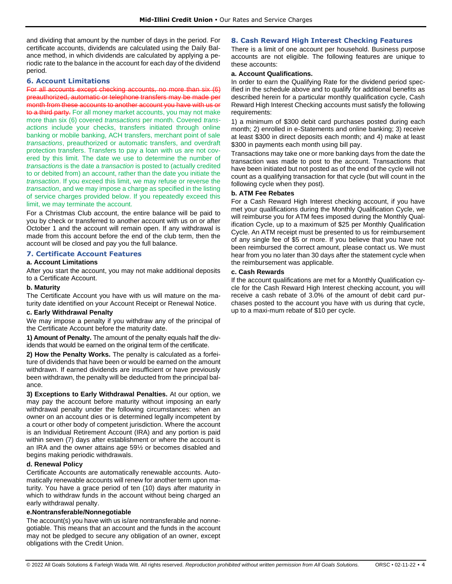and dividing that amount by the number of days in the period. For certificate accounts, dividends are calculated using the Daily Balance method, in which dividends are calculated by applying a periodic rate to the balance in the account for each day of the dividend period.

## **6. Account Limitations**

For all accounts except checking accounts, no more than six (6) preauthorized, automatic or telephone transfers may be made per month from these accounts to another account you have with us or to a third party. For all money market accounts, you may not make more than six (6) covered *transactions* per month. Covered *transactions* include your checks, transfers initiated through online banking or mobile banking, ACH transfers, merchant point of sale *transactions*, preauthorized or automatic transfers, and overdraft protection transfers. Transfers to pay a loan with us are not covered by this limit. The date we use to determine the number of *transactions* is the date a *transaction* is posted to (actually credited to or debited from) an account, rather than the date you initiate the *transaction*. If you exceed this limit, we may refuse or reverse the *transaction*, and we may impose a charge as specified in the listing of service charges provided below. If you repeatedly exceed this limit, we may terminate the account.

For a Christmas Club account, the entire balance will be paid to you by check or transferred to another account with us on or after October 1 and the account will remain open. If any withdrawal is made from this account before the end of the club term, then the account will be closed and pay you the full balance.

## **7. Certificate Account Features**

## **a. Account Limitations**

After you start the account, you may not make additional deposits to a Certificate Account.

#### **b. Maturity**

The Certificate Account you have with us will mature on the maturity date identified on your Account Receipt or Renewal Notice.

## **c. Early Withdrawal Penalty**

We may impose a penalty if you withdraw any of the principal of the Certificate Account before the maturity date.

**1) Amount of Penalty.** The amount of the penalty equals half the dividends that would be earned on the original term of the certificate.

**2) How the Penalty Works.** The penalty is calculated as a forfeiture of dividends that have been or would be earned on the amount withdrawn. If earned dividends are insufficient or have previously been withdrawn, the penalty will be deducted from the principal balance.

**3) Exceptions to Early Withdrawal Penalties.** At our option, we may pay the account before maturity without imposing an early withdrawal penalty under the following circumstances: when an owner on an account dies or is determined legally incompetent by a court or other body of competent jurisdiction. Where the account is an Individual Retirement Account (IRA) and any portion is paid within seven (7) days after establishment or where the account is an IRA and the owner attains age 59½ or becomes disabled and begins making periodic withdrawals.

#### **d. Renewal Policy**

Certificate Accounts are automatically renewable accounts. Automatically renewable accounts will renew for another term upon maturity. You have a grace period of ten (10) days after maturity in which to withdraw funds in the account without being charged an early withdrawal penalty.

## **e.Nontransferable/Nonnegotiable**

The account(s) you have with us is/are nontransferable and nonnegotiable. This means that an account and the funds in the account may not be pledged to secure any obligation of an owner, except obligations with the Credit Union.

## **8. Cash Reward High Interest Checking Features**

There is a limit of one account per household. Business purpose accounts are not eligible. The following features are unique to these accounts:

## **a. Account Qualifications.**

In order to earn the Qualifying Rate for the dividend period specified in the schedule above and to qualify for additional benefits as described herein for a particular monthly qualification cycle, Cash Reward High Interest Checking accounts must satisfy the following requirements:

1) a minimum of \$300 debit card purchases posted during each month; 2) enrolled in e-Statements and online banking; 3) receive at least \$300 in direct deposits each month; and 4) make at least \$300 in payments each month using bill pay.

Transactions may take one or more banking days from the date the transaction was made to post to the account. Transactions that have been initiated but not posted as of the end of the cycle will not count as a qualifying transaction for that cycle (but will count in the following cycle when they post).

## **b. ATM Fee Rebates**

For a Cash Reward High Interest checking account, if you have met your qualifications during the Monthly Qualification Cycle, we will reimburse you for ATM fees imposed during the Monthly Qualification Cycle, up to a maximum of \$25 per Monthly Qualification Cycle. An ATM receipt must be presented to us for reimbursement of any single fee of \$5 or more. If you believe that you have not been reimbursed the correct amount, please contact us. We must hear from you no later than 30 days after the statement cycle when the reimbursement was applicable.

#### **c. Cash Rewards**

If the account qualifications are met for a Monthly Qualification cycle for the Cash Reward High Interest checking account, you will receive a cash rebate of 3.0% of the amount of debit card purchases posted to the account you have with us during that cycle, up to a maxi-mum rebate of \$10 per cycle.